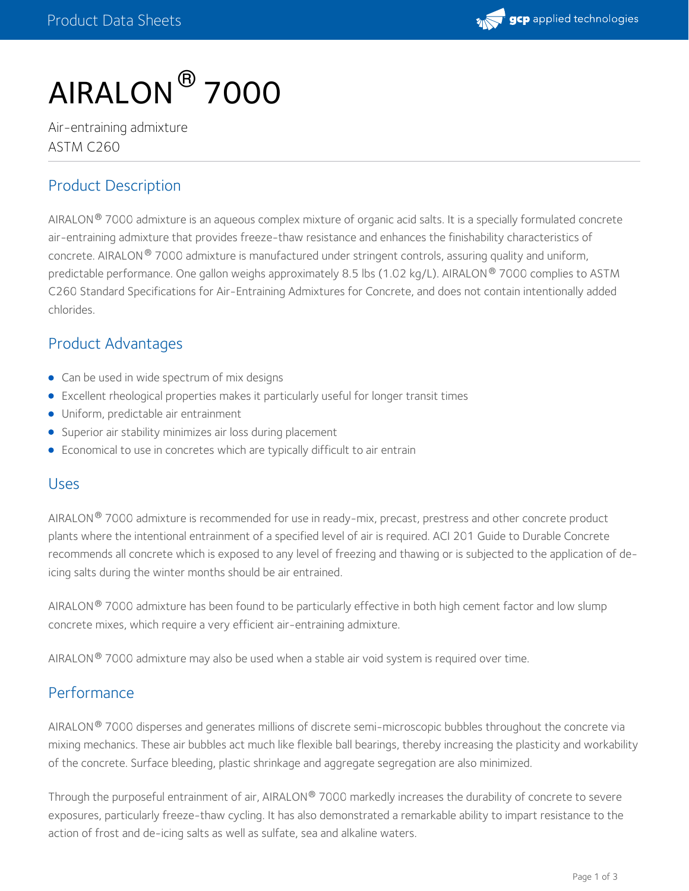

# AIRALON ® 7000

Air-entraining admixture ASTM C260

## Product Description

AIRALON® 7000 admixture is an aqueous complex mixture of organic acid salts. It is a specially formulated concrete air-entraining admixture that provides freeze-thaw resistance and enhances the finishability characteristics of concrete. AIRALON  $^\circ$  7000 admixture is manufactured under stringent controls, assuring quality and uniform, predictable performance. One gallon weighs approximately 8.5 lbs (1.02 kg/L). AIRALON ® 7000 complies to ASTM C260 Standard Specifications for Air-Entraining Admixtures for Concrete, and does not contain intentionally added chlorides.

# Product Advantages

- Can be used in wide spectrum of mix designs
- Excellent rheological properties makes it particularly useful for longer transit times
- Uniform, predictable air entrainment
- Superior air stability minimizes air loss during placement
- Economical to use in concretes which are typically difficult to air entrain

#### Uses

AIRALON® 7000 admixture is recommended for use in ready-mix, precast, prestress and other concrete product plants where the intentional entrainment of a specified level of air is required. ACI 201 Guide to Durable Concrete recommends all concrete which is exposed to any level of freezing and thawing or is subjected to the application of deicing salts during the winter months should be air entrained.

AIRALON $^\circledR$  7000 admixture has been found to be particularly effective in both high cement factor and low slump concrete mixes, which require a very efficient air-entraining admixture.

AIRALON $^\circledR$  7000 admixture may also be used when a stable air void system is required over time.

## Performance

AIRALON $^\circledR$  7000 disperses and generates millions of discrete semi-microscopic bubbles throughout the concrete via mixing mechanics. These air bubbles act much like flexible ball bearings, thereby increasing the plasticity and workability of the concrete. Surface bleeding, plastic shrinkage and aggregate segregation are also minimized.

Through the purposeful entrainment of air, AIRALON® 7000 markedly increases the durability of concrete to severe exposures, particularly freeze-thaw cycling. It has also demonstrated a remarkable ability to impart resistance to the action of frost and de-icing salts as well as sulfate, sea and alkaline waters.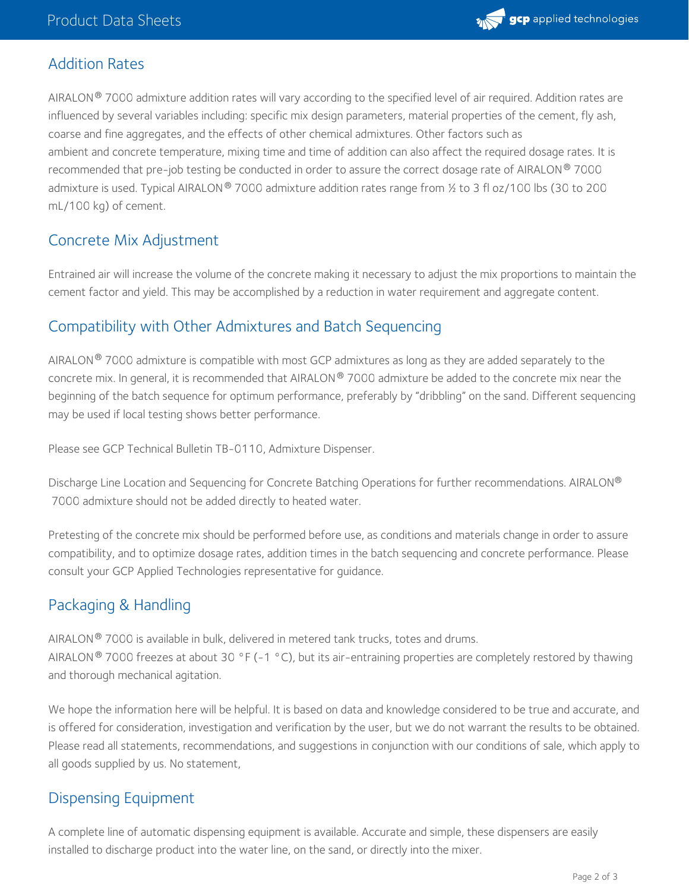

## Addition Rates

AIRALON® 7000 admixture addition rates will vary according to the specified level of air required. Addition rates are influenced by several variables including: specific mix design parameters, material properties of the cement, fly ash, coarse and fine aggregates, and the effects of other chemical admixtures. Other factors such as ambient and concrete temperature, mixing time and time of addition can also affect the required dosage rates. It is recommended that pre-job testing be conducted in order to assure the correct dosage rate of AIRALON  $^\circ$  7000 admixture is used. Typical AIRALON® 7000 admixture addition rates range from ½ to 3 fl oz/100 lbs (30 to 200 mL/100 kg) of cement.

# Concrete Mix Adjustment

Entrained air will increase the volume of the concrete making it necessary to adjust the mix proportions to maintain the cement factor and yield. This may be accomplished by a reduction in water requirement and aggregate content.

# Compatibility with Other Admixtures and Batch Sequencing

AIRALON $^\circledR$  7000 admixture is compatible with most GCP admixtures as long as they are added separately to the concrete mix. In general, it is recommended that AIRALON  $^\circ$  7000 admixture be added to the concrete mix near the beginning of the batch sequence for optimum performance, preferably by "dribbling" on the sand. Different sequencing may be used if local testing shows better performance.

Please see GCP Technical Bulletin TB-0110, Admixture Dispenser.

Discharge Line Location and Sequencing for Concrete Batching Operations for further recommendations. AIRALON ® 7000 admixture should not be added directly to heated water.

Pretesting of the concrete mix should be performed before use, as conditions and materials change in order to assure compatibility, and to optimize dosage rates, addition times in the batch sequencing and concrete performance. Please consult your GCP Applied Technologies representative for guidance.

# Packaging & Handling

AIRALON $^\circledR$  7000 is available in bulk, delivered in metered tank trucks, totes and drums. AIRALON® 7000 freezes at about 30 °F (-1 °C), but its air-entraining properties are completely restored by thawing and thorough mechanical agitation.

We hope the information here will be helpful. It is based on data and knowledge considered to be true and accurate, and is offered for consideration, investigation and verification by the user, but we do not warrant the results to be obtained. Please read all statements, recommendations, and suggestions in conjunction with our conditions of sale, which apply to all goods supplied by us. No statement,

#### Dispensing Equipment

A complete line of automatic dispensing equipment is available. Accurate and simple, these dispensers are easily installed to discharge product into the water line, on the sand, or directly into the mixer.